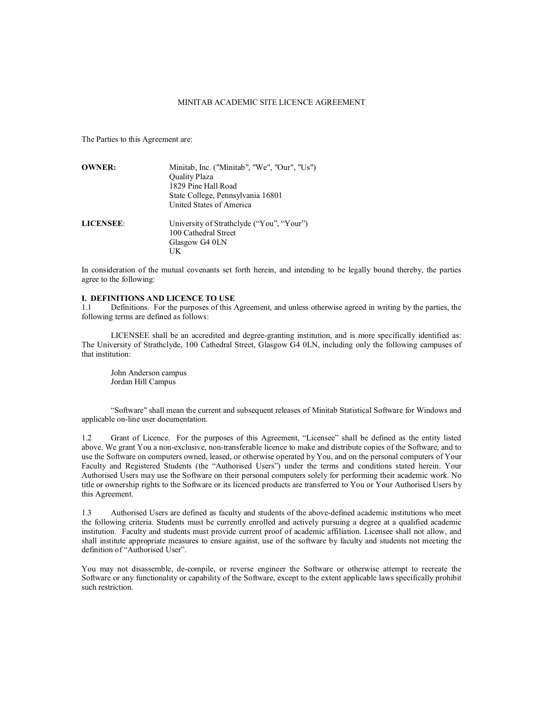## MINITAB ACADEMIC SITE LICENCE AGREEMENT

The Parties to this Agreement are:

| <b>OWNER:</b>    | Minitab, Inc. ("Minitab", "We", "Our", "Us") |
|------------------|----------------------------------------------|
|                  | <b>Ouality Plaza</b>                         |
|                  | 1829 Pine Hall Road                          |
|                  | State College, Pennsylvania 16801            |
|                  | United States of America                     |
| <b>LICENSEE:</b> | University of Strathclyde ("You", "Your")    |
|                  | 100 Cathedral Street                         |
|                  | Glasgow G4 0LN                               |
|                  | UK                                           |

In consideration of the mutual covenants set forth herein, and intending to be legally bound thereby, the parties agree to the following:

## **I. DEFINITIONS AND LICENCE TO USE**

1.1 Definitions. For the purposes of this Agreement, and unless otherwise agreed in writing by the parties, the following terms are defined as follows:

LICENSEE shall be an accredited and degree-granting institution, and is more specifically identified as: The University of Strathclyde, 100 Cathedral Street, Glasgow G4 0LN, including only the following campuses of that institution:

John Anderson campus Jordan Hill Campus

"Software" shall mean the current and subsequent releases of Minitab Statistical Software for Windows and applicable on-line user documentation.

1.2 Grant of Licence. For the purposes of this Agreement, "Licensee" shall be defined as the entity listed above. We grant You a non-exclusive, non-transferable licence to make and distribute copies of the Software, and to use the Software on computers owned, leased, or otherwise operated by You, and on the personal computers of Your Faculty and Registered Students (the "Authorised Users") under the terms and conditions stated herein. Your Authorised Users may use the Software on their personal computers solely for performing their academic work. No title or ownership rights to the Software or its licenced products are transferred to You or Your Authorised Users by this Agreement.

1.3 Authorised Users are defined as faculty and students of the above-defined academic institutions who meet the following criteria. Students must be currently enrolled and actively pursuing a degree at a qualified academic institution. Faculty and students must provide current proof of academic affiliation. Licensee shall not allow, and shall institute appropriate measures to ensure against, use of the software by faculty and students not meeting the definition of "Authorised User".

You may not disassemble, de-compile, or reverse engineer the Software or otherwise attempt to recreate the Software or any functionality or capability of the Software, except to the extent applicable laws specifically prohibit such restriction.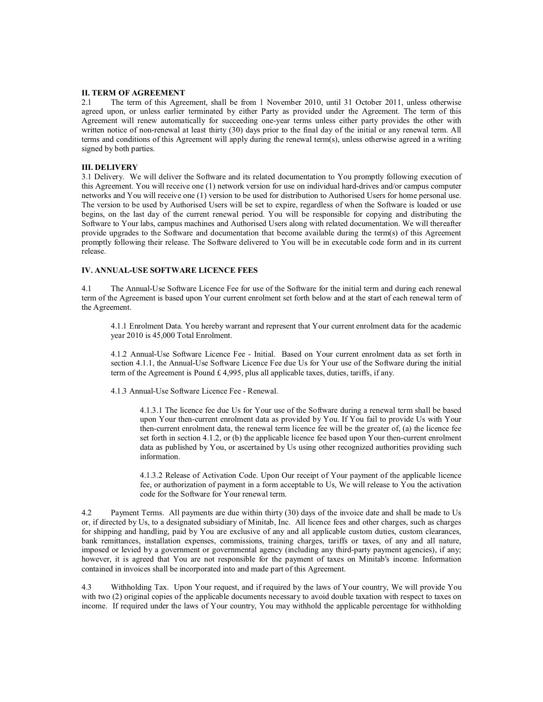### **II. TERM OF AGREEMENT**

2.1 The term of this Agreement, shall be from 1 November 2010, until 31 October 2011, unless otherwise agreed upon, or unless earlier terminated by either Party as provided under the Agreement. The term of this Agreement will renew automatically for succeeding one-year terms unless either party provides the other with written notice of non-renewal at least thirty (30) days prior to the final day of the initial or any renewal term. All terms and conditions of this Agreement will apply during the renewal term(s), unless otherwise agreed in a writing signed by both parties.

#### **III. DELIVERY**

3.1 Delivery. We will deliver the Software and its related documentation to You promptly following execution of this Agreement. You will receive one (1) network version for use on individual hard-drives and/or campus computer networks and You will receive one (1) version to be used for distribution to Authorised Users for home personal use. The version to be used by Authorised Users will be set to expire, regardless of when the Software is loaded or use begins, on the last day of the current renewal period. You will be responsible for copying and distributing the Software to Your labs, campus machines and Authorised Users along with related documentation. We will thereafter provide upgrades to the Software and documentation that become available during the term(s) of this Agreement promptly following their release. The Software delivered to You will be in executable code form and in its current release.

## **IV. ANNUAL-USE SOFTWARE LICENCE FEES**

4.1 The Annual-Use Software Licence Fee for use of the Software for the initial term and during each renewal term of the Agreement is based upon Your current enrolment set forth below and at the start of each renewal term of the Agreement.

4.1.1 Enrolment Data. You hereby warrant and represent that Your current enrolment data for the academic year 2010 is 45,000 Total Enrolment.

4.1.2 Annual-Use Software Licence Fee - Initial. Based on Your current enrolment data as set forth in section 4.1.1, the Annual-Use Software Licence Fee due Us for Your use of the Software during the initial term of the Agreement is Pound £ 4,995, plus all applicable taxes, duties, tariffs, if any.

4.1.3 Annual-Use Software Licence Fee - Renewal.

4.1.3.1 The licence fee due Us for Your use of the Software during a renewal term shall be based upon Your then-current enrolment data as provided by You. If You fail to provide Us with Your then-current enrolment data, the renewal term licence fee will be the greater of, (a) the licence fee set forth in section 4.1.2, or (b) the applicable licence fee based upon Your then-current enrolment data as published by You, or ascertained by Us using other recognized authorities providing such information.

4.1.3.2 Release of Activation Code. Upon Our receipt of Your payment of the applicable licence fee, or authorization of payment in a form acceptable to Us, We will release to You the activation code for the Software for Your renewal term.

4.2 Payment Terms. All payments are due within thirty (30) days of the invoice date and shall be made to Us or, if directed by Us, to a designated subsidiary of Minitab, Inc. All licence fees and other charges, such as charges for shipping and handling, paid by You are exclusive of any and all applicable custom duties, custom clearances, bank remittances, installation expenses, commissions, training charges, tariffs or taxes, of any and all nature, imposed or levied by a government or governmental agency (including any third-party payment agencies), if any; however, it is agreed that You are not responsible for the payment of taxes on Minitab's income. Information contained in invoices shall be incorporated into and made part of this Agreement.

4.3 Withholding Tax. Upon Your request, and if required by the laws of Your country, We will provide You with two (2) original copies of the applicable documents necessary to avoid double taxation with respect to taxes on income. If required under the laws of Your country, You may withhold the applicable percentage for withholding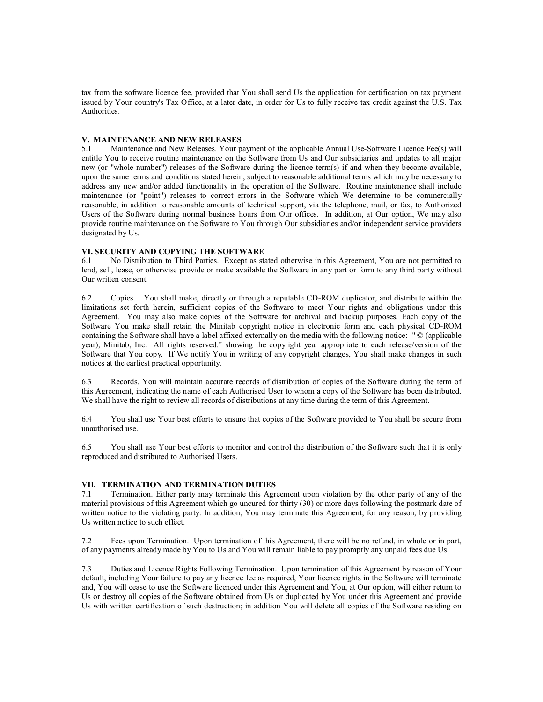tax from the software licence fee, provided that You shall send Us the application for certification on tax payment issued by Your country's Tax Office, at a later date, in order for Us to fully receive tax credit against the U.S. Tax Authorities.

# **V. MAINTENANCE AND NEW RELEASES**<br>5.1 Maintenance and New Releases. Your p

Maintenance and New Releases. Your payment of the applicable Annual Use-Software Licence Fee(s) will entitle You to receive routine maintenance on the Software from Us and Our subsidiaries and updates to all major new (or "whole number") releases of the Software during the licence term(s) if and when they become available, upon the same terms and conditions stated herein, subject to reasonable additional terms which may be necessary to address any new and/or added functionality in the operation of the Software. Routine maintenance shall include maintenance (or "point") releases to correct errors in the Software which We determine to be commercially reasonable, in addition to reasonable amounts of technical support, via the telephone, mail, or fax, to Authorized Users of the Software during normal business hours from Our offices. In addition, at Our option, We may also provide routine maintenance on the Software to You through Our subsidiaries and/or independent service providers designated by Us.

## **VI. SECURITY AND COPYING THE SOFTWARE**

6.1 No Distribution to Third Parties. Except as stated otherwise in this Agreement, You are not permitted to lend, sell, lease, or otherwise provide or make available the Software in any part or form to any third party without Our written consent.

6.2 Copies. You shall make, directly or through a reputable CD-ROM duplicator, and distribute within the limitations set forth herein, sufficient copies of the Software to meet Your rights and obligations under this Agreement. You may also make copies of the Software for archival and backup purposes. Each copy of the Software You make shall retain the Minitab copyright notice in electronic form and each physical CD-ROM containing the Software shall have a label affixed externally on the media with the following notice: " © (applicable year), Minitab, Inc. All rights reserved." showing the copyright year appropriate to each release/version of the Software that You copy. If We notify You in writing of any copyright changes, You shall make changes in such notices at the earliest practical opportunity.

6.3 Records. You will maintain accurate records of distribution of copies of the Software during the term of this Agreement, indicating the name of each Authorised User to whom a copy of the Software has been distributed. We shall have the right to review all records of distributions at any time during the term of this Agreement.

6.4 You shall use Your best efforts to ensure that copies of the Software provided to You shall be secure from unauthorised use.

6.5 You shall use Your best efforts to monitor and control the distribution of the Software such that it is only reproduced and distributed to Authorised Users.

### **VII. TERMINATION AND TERMINATION DUTIES**

7.1 Termination. Either party may terminate this Agreement upon violation by the other party of any of the material provisions of this Agreement which go uncured for thirty (30) or more days following the postmark date of written notice to the violating party. In addition, You may terminate this Agreement, for any reason, by providing Us written notice to such effect.

7.2 Fees upon Termination. Upon termination of this Agreement, there will be no refund, in whole or in part, of any payments already made by You to Us and You will remain liable to pay promptly any unpaid fees due Us.

7.3 Duties and Licence Rights Following Termination. Upon termination of this Agreement by reason of Your default, including Your failure to pay any licence fee as required, Your licence rights in the Software will terminate and, You will cease to use the Software licenced under this Agreement and You, at Our option, will either return to Us or destroy all copies of the Software obtained from Us or duplicated by You under this Agreement and provide Us with written certification of such destruction; in addition You will delete all copies of the Software residing on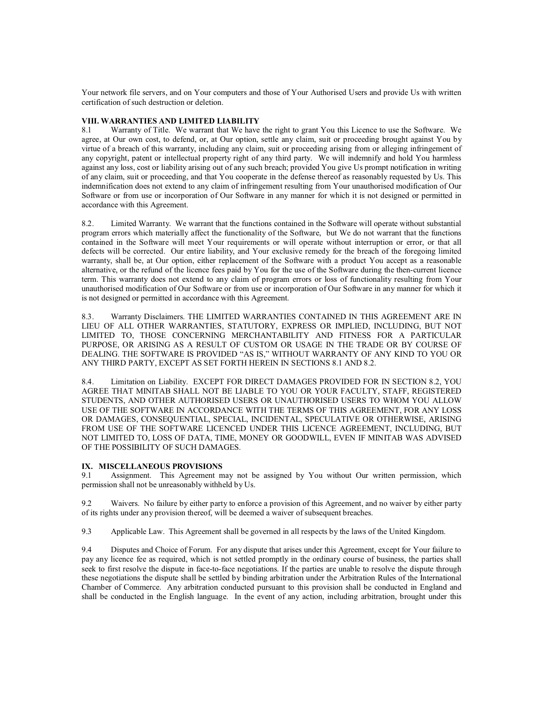Your network file servers, and on Your computers and those of Your Authorised Users and provide Us with written certification of such destruction or deletion.

## **VIII. WARRANTIES AND LIMITED LIABILITY**

8.1 Warranty of Title. We warrant that We have the right to grant You this Licence to use the Software. We agree, at Our own cost, to defend, or, at Our option, settle any claim, suit or proceeding brought against You by virtue of a breach of this warranty, including any claim, suit or proceeding arising from or alleging infringement of any copyright, patent or intellectual property right of any third party. We will indemnify and hold You harmless against any loss, cost or liability arising out of any such breach; provided You give Us prompt notification in writing of any claim, suit or proceeding, and that You cooperate in the defense thereof as reasonably requested by Us. This indemnification does not extend to any claim of infringement resulting from Your unauthorised modification of Our Software or from use or incorporation of Our Software in any manner for which it is not designed or permitted in accordance with this Agreement.

8.2. Limited Warranty. We warrant that the functions contained in the Software will operate without substantial program errors which materially affect the functionality of the Software, but We do not warrant that the functions contained in the Software will meet Your requirements or will operate without interruption or error, or that all defects will be corrected. Our entire liability, and Your exclusive remedy for the breach of the foregoing limited warranty, shall be, at Our option, either replacement of the Software with a product You accept as a reasonable alternative, or the refund of the licence fees paid by You for the use of the Software during the then-current licence term. This warranty does not extend to any claim of program errors or loss of functionality resulting from Your unauthorised modification of Our Software or from use or incorporation of Our Software in any manner for which it is not designed or permitted in accordance with this Agreement.

8.3. Warranty Disclaimers. THE LIMITED WARRANTIES CONTAINED IN THIS AGREEMENT ARE IN LIEU OF ALL OTHER WARRANTIES, STATUTORY, EXPRESS OR IMPLIED, INCLUDING, BUT NOT LIMITED TO, THOSE CONCERNING MERCHANTABILITY AND FITNESS FOR A PARTICULAR PURPOSE, OR ARISING AS A RESULT OF CUSTOM OR USAGE IN THE TRADE OR BY COURSE OF DEALING. THE SOFTWARE IS PROVIDED "AS IS," WITHOUT WARRANTY OF ANY KIND TO YOU OR ANY THIRD PARTY, EXCEPT AS SET FORTH HEREIN IN SECTIONS 8.1 AND 8.2.

8.4. Limitation on Liability. EXCEPT FOR DIRECT DAMAGES PROVIDED FOR IN SECTION 8.2, YOU AGREE THAT MINITAB SHALL NOT BE LIABLE TO YOU OR YOUR FACULTY, STAFF, REGISTERED STUDENTS, AND OTHER AUTHORISED USERS OR UNAUTHORISED USERS TO WHOM YOU ALLOW USE OF THE SOFTWARE IN ACCORDANCE WITH THE TERMS OF THIS AGREEMENT, FOR ANY LOSS OR DAMAGES, CONSEQUENTIAL, SPECIAL, INCIDENTAL, SPECULATIVE OR OTHERWISE, ARISING FROM USE OF THE SOFTWARE LICENCED UNDER THIS LICENCE AGREEMENT, INCLUDING, BUT NOT LIMITED TO, LOSS OF DATA, TIME, MONEY OR GOODWILL, EVEN IF MINITAB WAS ADVISED OF THE POSSIBILITY OF SUCH DAMAGES.

### **IX. MISCELLANEOUS PROVISIONS**

9.1 Assignment. This Agreement may not be assigned by You without Our written permission, which permission shall not be unreasonably withheld by Us.

9.2 Waivers. No failure by either party to enforce a provision of this Agreement, and no waiver by either party of its rights under any provision thereof, will be deemed a waiver of subsequent breaches.

9.3 Applicable Law. This Agreement shall be governed in all respects by the laws of the United Kingdom.

9.4 Disputes and Choice of Forum. For any dispute that arises under this Agreement, except for Your failure to pay any licence fee as required, which is not settled promptly in the ordinary course of business, the parties shall seek to first resolve the dispute in face-to-face negotiations. If the parties are unable to resolve the dispute through these negotiations the dispute shall be settled by binding arbitration under the Arbitration Rules of the International Chamber of Commerce. Any arbitration conducted pursuant to this provision shall be conducted in England and shall be conducted in the English language. In the event of any action, including arbitration, brought under this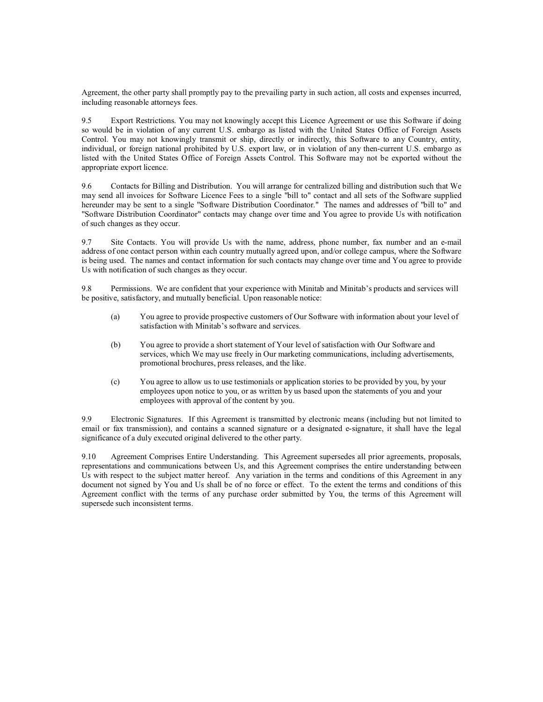Agreement, the other party shall promptly pay to the prevailing party in such action, all costs and expenses incurred, including reasonable attorneys fees.

9.5 Export Restrictions. You may not knowingly accept this Licence Agreement or use this Software if doing so would be in violation of any current U.S. embargo as listed with the United States Office of Foreign Assets Control. You may not knowingly transmit or ship, directly or indirectly, this Software to any Country, entity, individual, or foreign national prohibited by U.S. export law, or in violation of any then-current U.S. embargo as listed with the United States Office of Foreign Assets Control. This Software may not be exported without the appropriate export licence.

9.6 Contacts for Billing and Distribution. You will arrange for centralized billing and distribution such that We may send all invoices for Software Licence Fees to a single "bill to" contact and all sets of the Software supplied hereunder may be sent to a single "Software Distribution Coordinator." The names and addresses of "bill to" and "Software Distribution Coordinator" contacts may change over time and You agree to provide Us with notification of such changes as they occur.

9.7 Site Contacts. You will provide Us with the name, address, phone number, fax number and an e-mail address of one contact person within each country mutually agreed upon, and/or college campus, where the Software is being used. The names and contact information for such contacts may change over time and You agree to provide Us with notification of such changes as they occur.

9.8 Permissions. We are confident that your experience with Minitab and Minitab's products and services will be positive, satisfactory, and mutually beneficial. Upon reasonable notice:

- (a) You agree to provide prospective customers of Our Software with information about your level of satisfaction with Minitab's software and services.
- (b) You agree to provide a short statement of Your level of satisfaction with Our Software and services, which We may use freely in Our marketing communications, including advertisements, promotional brochures, press releases, and the like.
- (c) You agree to allow us to use testimonials or application stories to be provided by you, by your employees upon notice to you, or as written by us based upon the statements of you and your employees with approval of the content by you.

9.9 Electronic Signatures. If this Agreement is transmitted by electronic means (including but not limited to email or fax transmission), and contains a scanned signature or a designated e-signature, it shall have the legal significance of a duly executed original delivered to the other party.

9.10 Agreement Comprises Entire Understanding. This Agreement supersedes all prior agreements, proposals, representations and communications between Us, and this Agreement comprises the entire understanding between Us with respect to the subject matter hereof. Any variation in the terms and conditions of this Agreement in any document not signed by You and Us shall be of no force or effect. To the extent the terms and conditions of this Agreement conflict with the terms of any purchase order submitted by You, the terms of this Agreement will supersede such inconsistent terms.